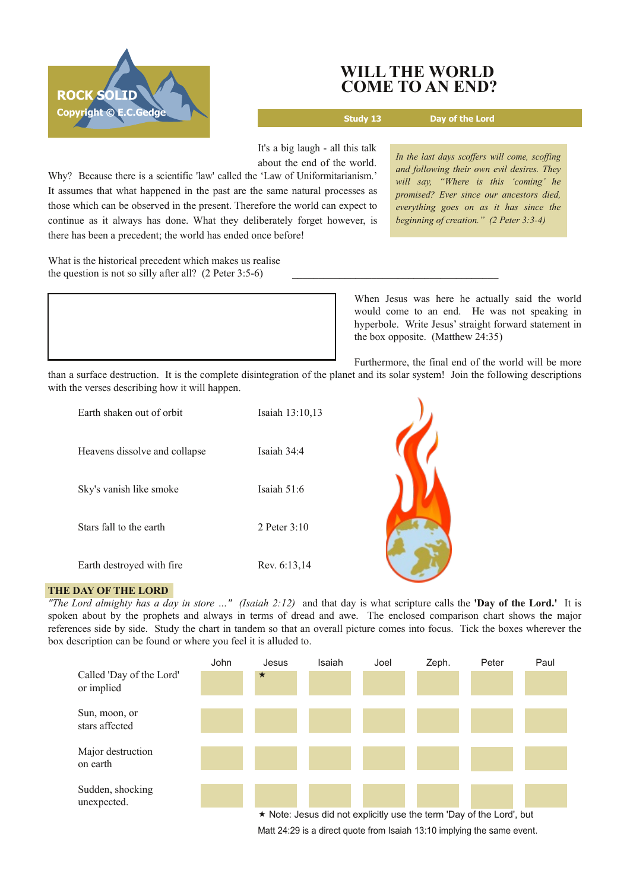

# **WILL THE WORLD COME TO AN END?**

**Study 13 Day of the Lord**

It's a big laugh - all this talk about the end of the world.

Why? Because there is a scientific 'law' called the 'Law of Uniformitarianism.' It assumes that what happened in the past are the same natural processes as those which can be observed in the present. Therefore the world can expect to continue as it always has done. What they deliberately forget however, is there has been a precedent; the world has ended once before!

What is the historical precedent which makes us realise the question is not so silly after all?  $(2$  Peter 3:5-6)

*In the last days scoffers will come, scoffing and following their own evil desires. They will say, "Where is this 'coming' he promised? Ever since our ancestors died, everything goes on as it has since the beginning of creation." (2 Peter 3:34)*

When Jesus was here he actually said the world would come to an end. He was not speaking in hyperbole. Write Jesus' straight forward statement in the box opposite. (Matthew 24:35)

Furthermore, the final end of the world will be more

than a surface destruction. It is the complete disintegration of the planet and its solar system! Join the following descriptions with the verses describing how it will happen.

| Earth shaken out of orbit     | Isaiah 13:10,13 |  |
|-------------------------------|-----------------|--|
| Heavens dissolve and collapse | Isaiah 34:4     |  |
| Sky's vanish like smoke       | Isaiah 51:6     |  |
| Stars fall to the earth       | 2 Peter 3:10    |  |
| Earth destroyed with fire     | Rev. 6:13,14    |  |

## **THE DAY OF THE LORD**

"The Lord almighty has a day in store ..." (Isaiah 2:12) and that day is what scripture calls the 'Day of the Lord.' It is spoken about by the prophets and always in terms of dread and awe. The enclosed comparison chart shows the major references side by side. Study the chart in tandem so that an overall picture comes into focus. Tick the boxes wherever the box description can be found or where you feel it is alluded to.



Matt 24:29 is a direct quote from Isaiah 13:10 implying the same event.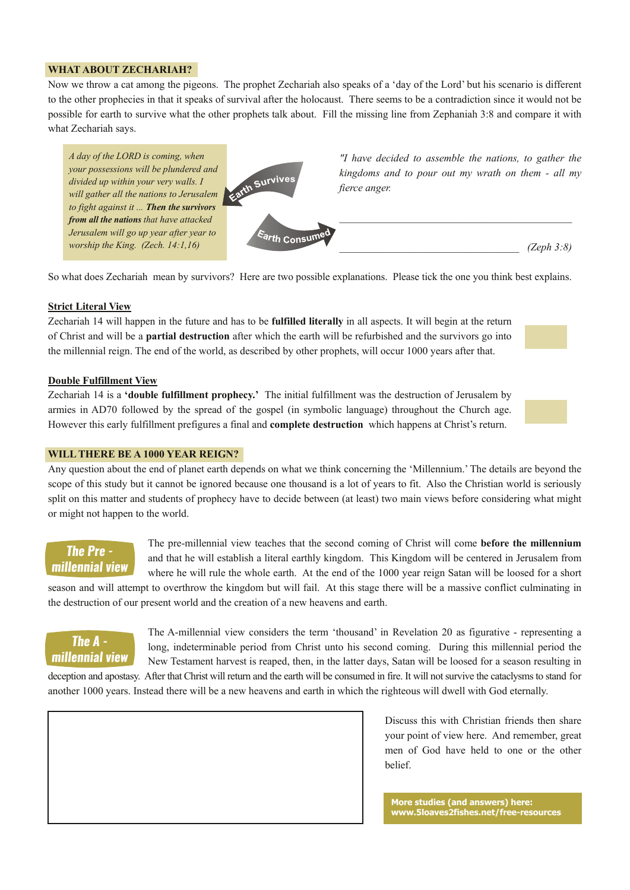## **WHAT ABOUT ZECHARIAH?**

Now we throw a cat among the pigeons. The prophet Zechariah also speaks of a 'day of the Lord' but his scenario is different to the other prophecies in that it speaks of survival after the holocaust. There seems to be a contradiction since it would not be possible for earth to survive what the other prophets talk about. Fill the missing line from Zephaniah 3:8 and compare it with what Zechariah says.



So what does Zechariah mean by survivors? Here are two possible explanations. Please tick the one you think best explains.

#### **Strict Literal View**

Zechariah 14 will happen in the future and has to be **fulfilled literally** in all aspects. It will begin at the return of Christ and will be a **partial destruction** after which the earth will be refurbished and the survivors go into the millennial reign. The end of the world, as described by other prophets, will occur 1000 years after that.

#### **Double Fulfillment View**

Zechariah 14 is a **'double fulfillment prophecy.'** The initial fulfillment was the destruction of Jerusalem by armies in AD70 followed by the spread of the gospel (in symbolic language) throughout the Church age. However this early fulfillment prefigures a final and **complete destruction** which happens at Christ's return.

#### **WILLTHERE BE A 1000 YEAR REIGN?**

Any question about the end of planet earth depends on what we think concerning the 'Millennium.' The details are beyond the scope of this study but it cannot be ignored because one thousand is a lot of years to fit. Also the Christian world is seriously split on this matter and students of prophecy have to decide between (at least) two main views before considering what might or might not happen to the world.

# The Pre millennial view

The premillennial view teaches that the second coming of Christ will come **before the millennium** and that he will establish a literal earthly kingdom. This Kingdom will be centered in Jerusalem from where he will rule the whole earth. At the end of the 1000 year reign Satan will be loosed for a short

season and will attempt to overthrow the kingdom but will fail. At this stage there will be a massive conflict culminating in the destruction of our present world and the creation of a new heavens and earth.



The Amillennial view considers the term 'thousand' in Revelation 20 as figurative representing a long, indeterminable period from Christ unto his second coming. During this millennial period the New Testament harvest is reaped, then, in the latter days, Satan will be loosed for a season resulting in deception and apostasy. After that Christ will return and the earth will be consumed in fire. It will not survive the cataclysms to stand for

another 1000 years. Instead there will be a new heavens and earth in which the righteous will dwell with God eternally.

Discuss this with Christian friends then share your point of view here. And remember, great men of God have held to one or the other belief.

**More studies (and answers) here: www.5loaves2fishes.net/freeresources**